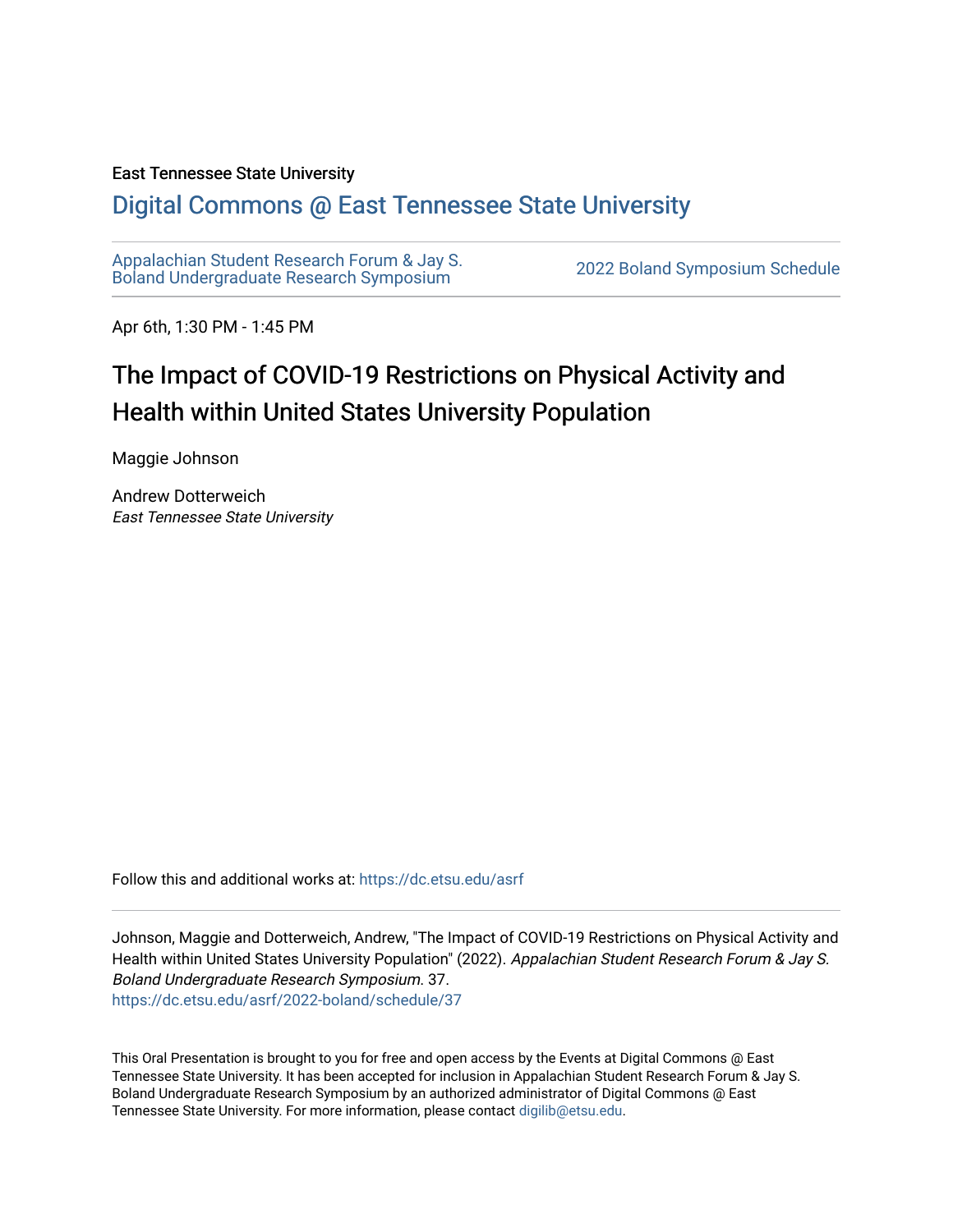#### East Tennessee State University

#### [Digital Commons @ East Tennessee State University](https://dc.etsu.edu/)

[Appalachian Student Research Forum & Jay S.](https://dc.etsu.edu/asrf)  [Boland Undergraduate Research Symposium](https://dc.etsu.edu/asrf) [2022 Boland Symposium Schedule](https://dc.etsu.edu/asrf/2022-boland) 

Apr 6th, 1:30 PM - 1:45 PM

#### The Impact of COVID-19 Restrictions on Physical Activity and Health within United States University Population

Maggie Johnson

Andrew Dotterweich East Tennessee State University

Follow this and additional works at: [https://dc.etsu.edu/asrf](https://dc.etsu.edu/asrf?utm_source=dc.etsu.edu%2Fasrf%2F2022-boland%2Fschedule%2F37&utm_medium=PDF&utm_campaign=PDFCoverPages) 

Johnson, Maggie and Dotterweich, Andrew, "The Impact of COVID-19 Restrictions on Physical Activity and Health within United States University Population" (2022). Appalachian Student Research Forum & Jay S. Boland Undergraduate Research Symposium. 37. [https://dc.etsu.edu/asrf/2022-boland/schedule/37](https://dc.etsu.edu/asrf/2022-boland/schedule/37?utm_source=dc.etsu.edu%2Fasrf%2F2022-boland%2Fschedule%2F37&utm_medium=PDF&utm_campaign=PDFCoverPages) 

This Oral Presentation is brought to you for free and open access by the Events at Digital Commons @ East Tennessee State University. It has been accepted for inclusion in Appalachian Student Research Forum & Jay S. Boland Undergraduate Research Symposium by an authorized administrator of Digital Commons @ East Tennessee State University. For more information, please contact [digilib@etsu.edu](mailto:digilib@etsu.edu).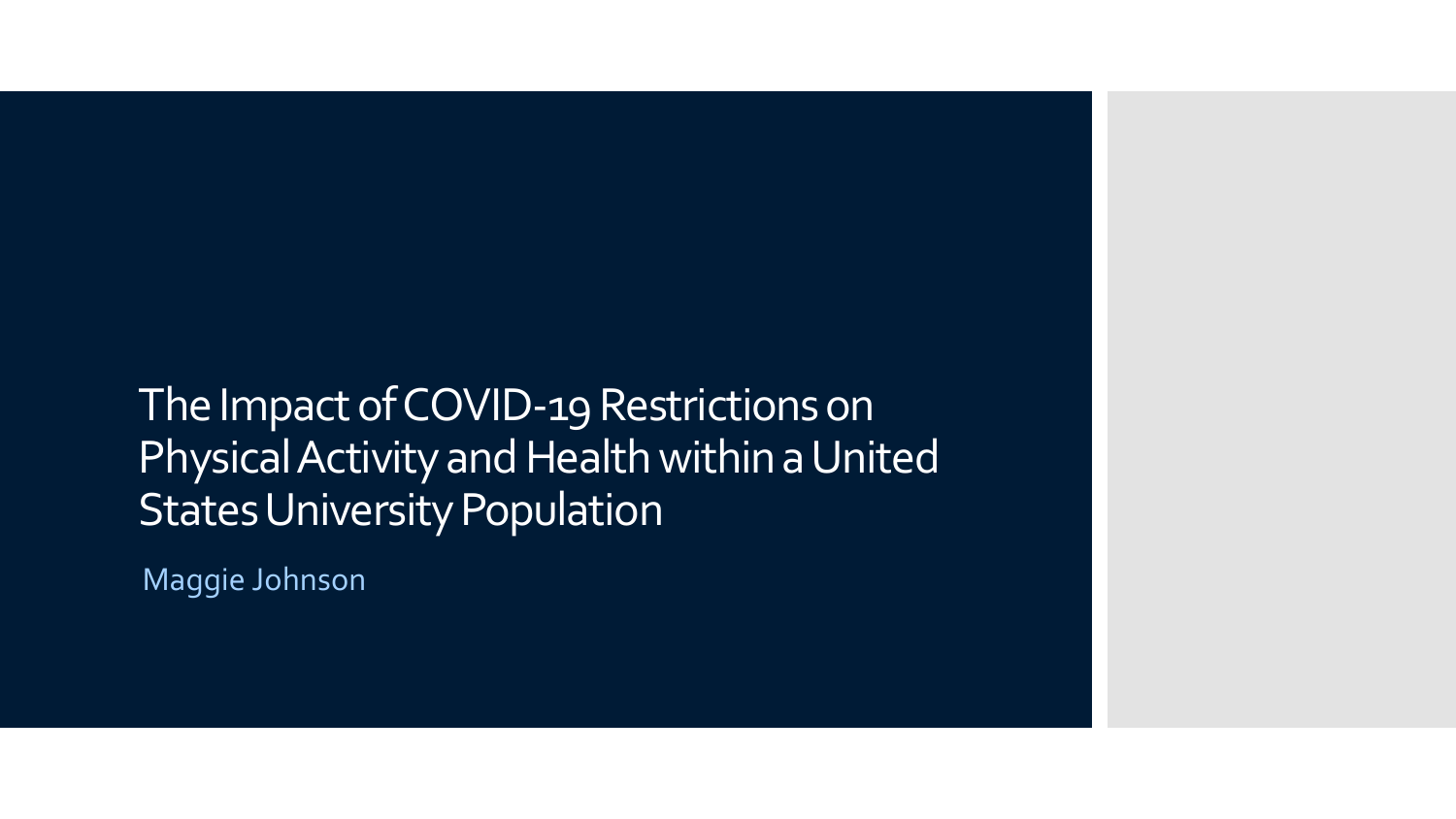#### The Impact of COVID-19 Restrictions on Physical Activity and Health within a United States University Population

Maggie Johnson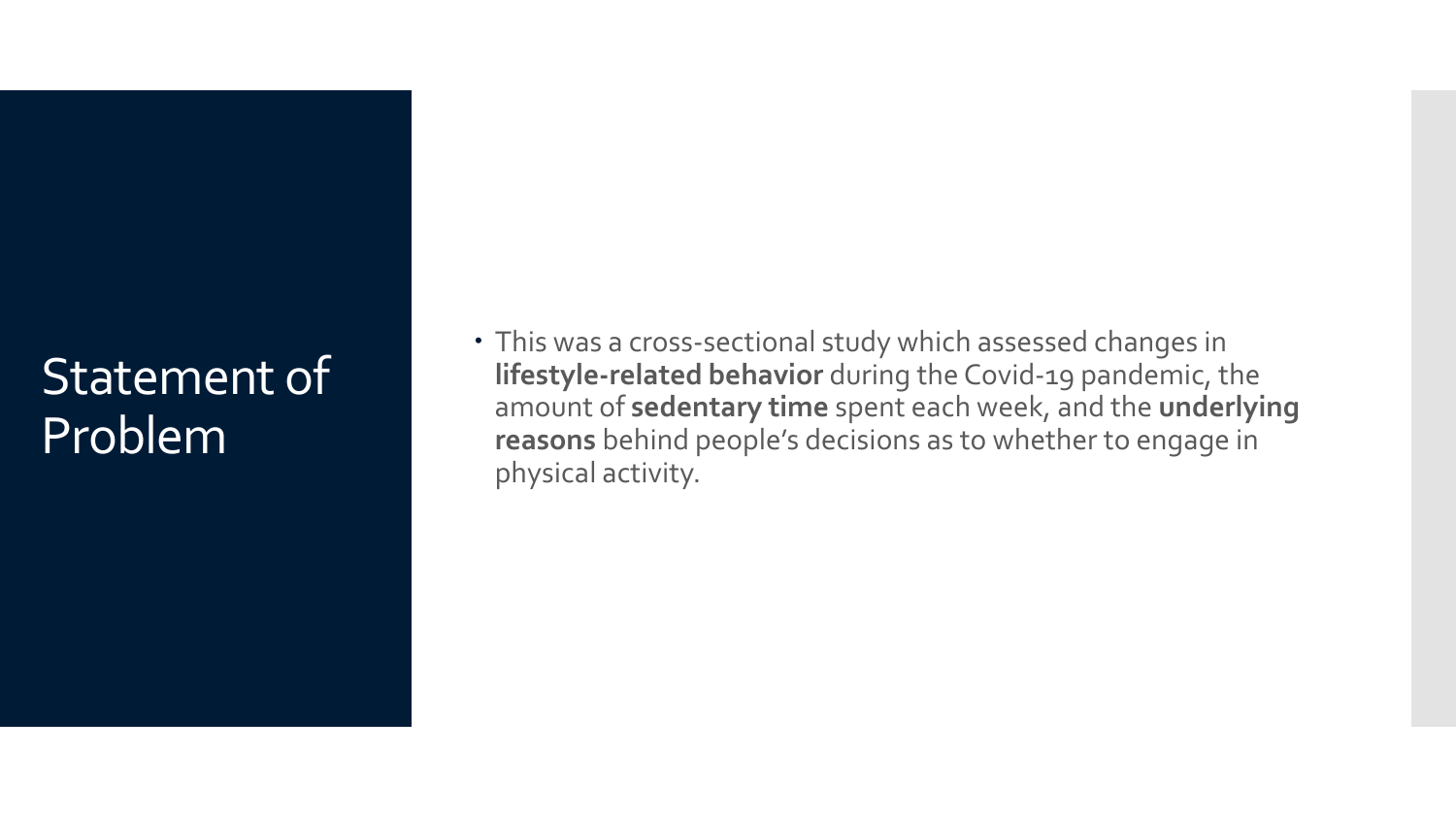#### Statement of Problem

 This was a cross-sectional study which assessed changes in **lifestyle-related behavior** during the Covid-19 pandemic, the amount of **sedentary time** spent each week, and the **underlying reasons** behind people's decisions as to whether to engage in physical activity.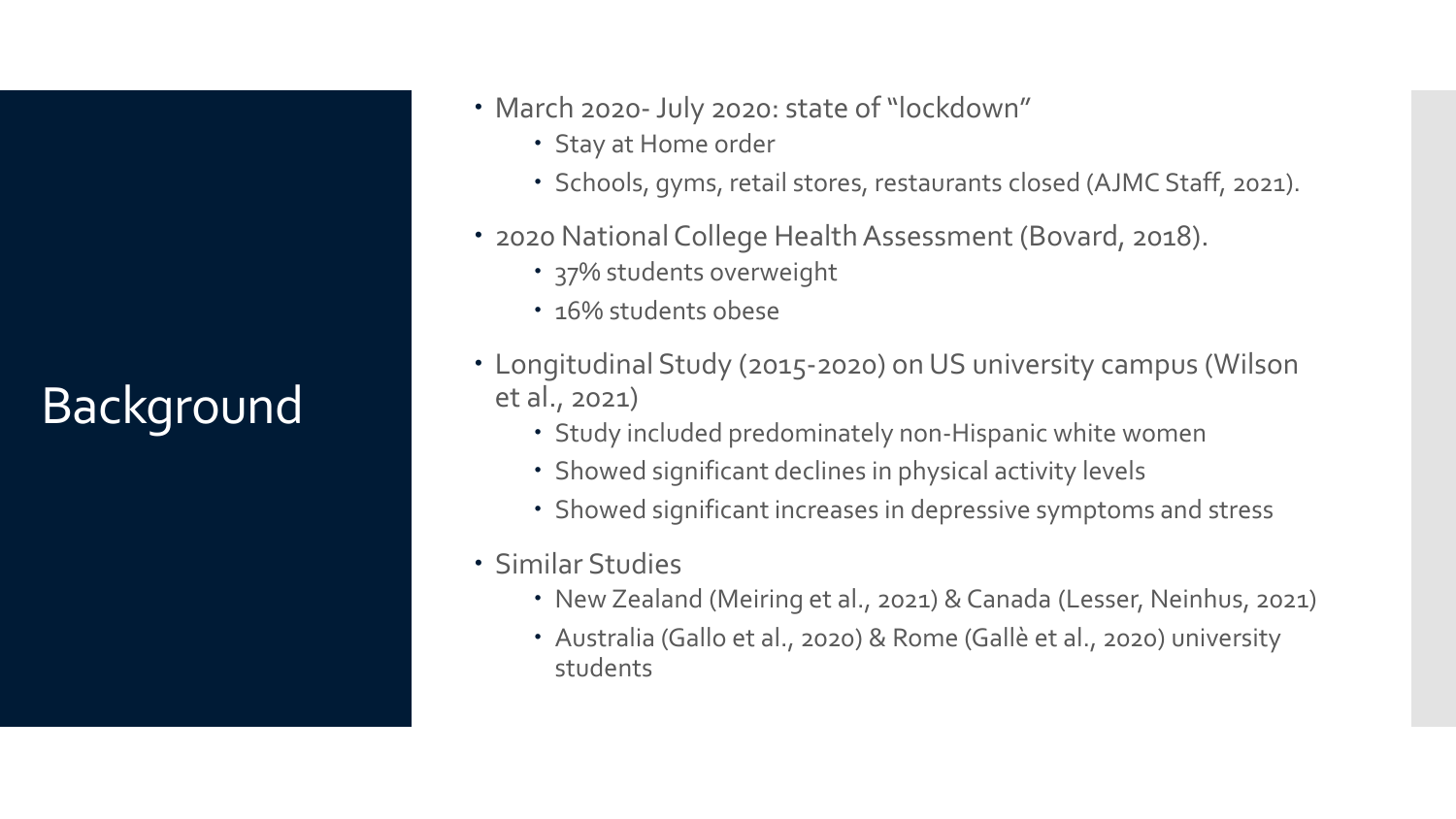## Background

- March 2020-July 2020: state of "lockdown"
	- Stay at Home order
	- Schools, gyms, retail stores, restaurants closed (AJMC Staff, 2021).
- 2020 National College Health Assessment (Bovard, 2018).
	- 37% students overweight
	- 16% students obese
- Longitudinal Study (2015-2020) on US university campus (Wilson et al., 2021)
	- Study included predominately non-Hispanic white women
	- Showed significant declines in physical activity levels
	- Showed significant increases in depressive symptoms and stress
- Similar Studies
	- New Zealand (Meiring et al., 2021) & Canada (Lesser, Neinhus, 2021)
	- Australia (Gallo et al., 2020) & Rome (Gallè et al., 2020) university students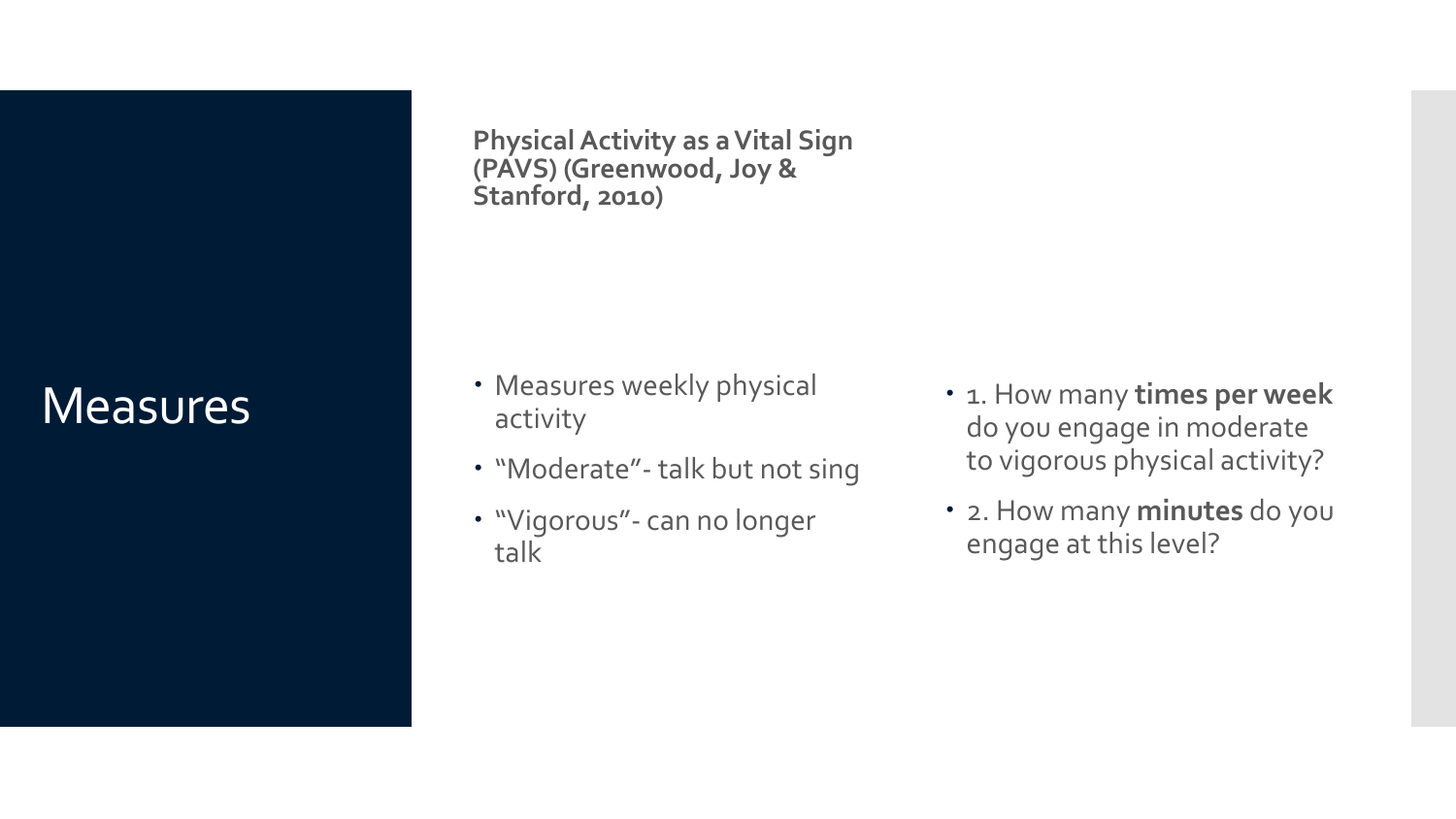#### **Measures**

**Physical Activity as a Vital Sign (PAVS) (Greenwood, Joy & Stanford, 2010)**

- Measures weekly physical activity
- "Moderate"- talk but not sing
- "Vigorous"- can no longer talk
- $\cdot$  1. How many times per week do you engage in moderate to vigorous physical activity?
- 2. How many **minutes** do you engage at this level?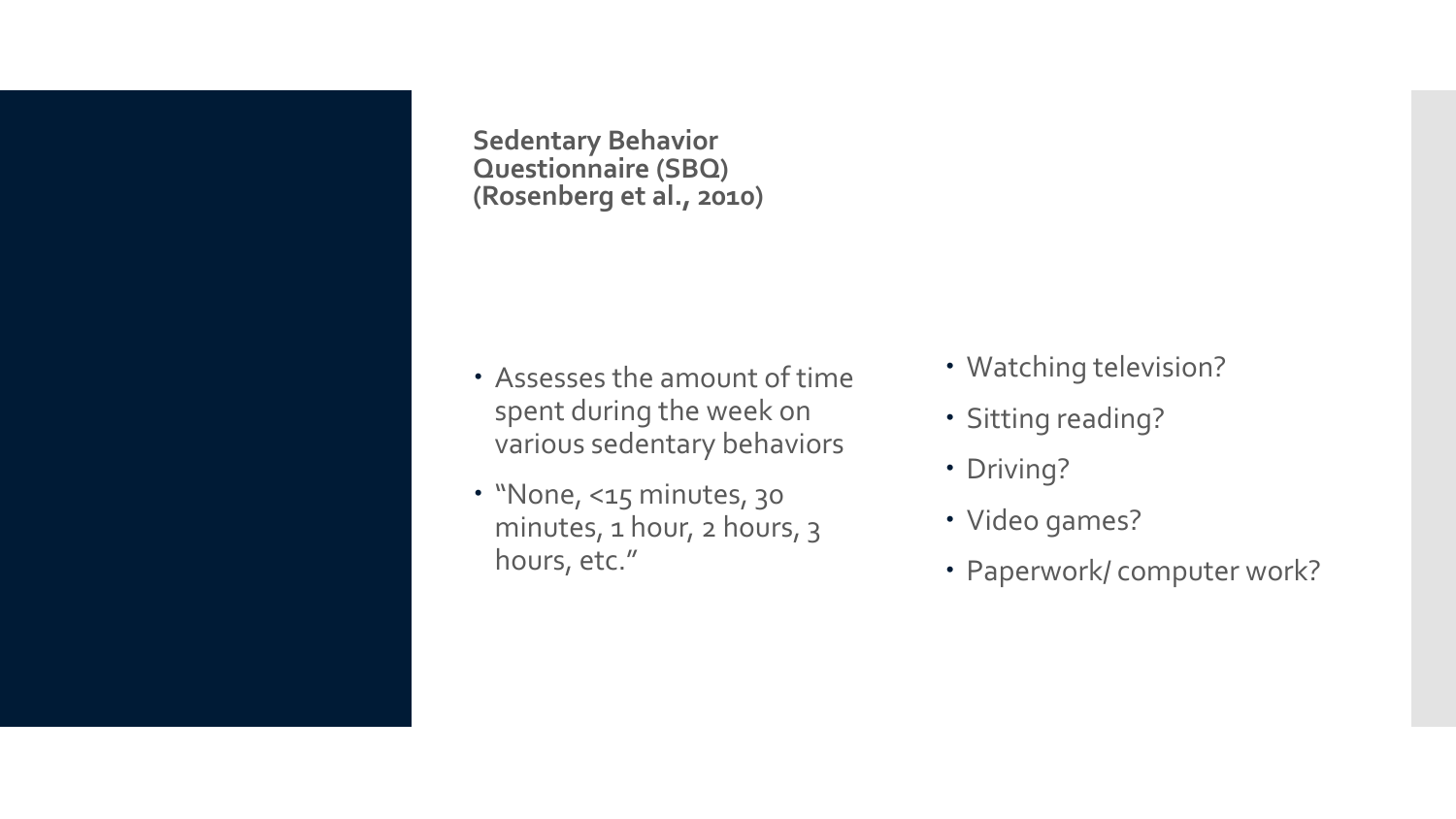**Sedentary Behavior Questionnaire (SBQ) (Rosenberg et al., 2010)**

- Assesses the amount of time spent during the week on various sedentary behaviors
- "None, <15 minutes, 30 minutes, 1 hour, 2 hours, 3 hours, etc."
- Watching television?
- Sitting reading?
- Driving?
- Video games?
- Paperwork/ computer work?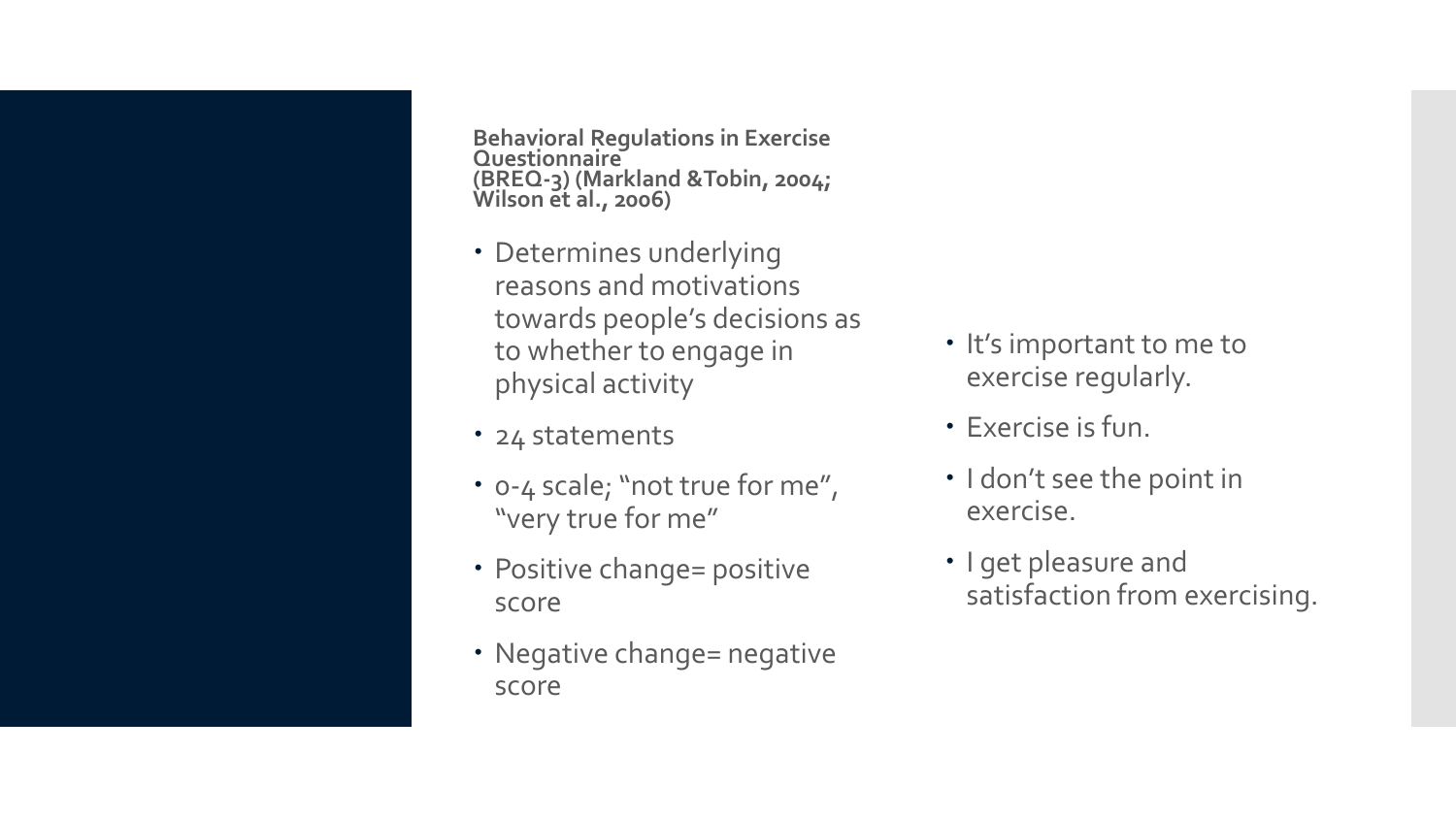**Behavioral Regulations in Exercise Questionnaire (BREQ-3) (Markland &Tobin, 2004; Wilson et al., 2006)**

- Determines underlying reasons and motivations towards people's decisions as to whether to engage in physical activity
- 24 statements
- 0-4 scale; "not true for me", "very true for me"
- Positive change= positive score
- Negative change= negative score
- It's important to me to exercise regularly.
- Exercise is fun.
- I don't see the point in exercise.
- I get pleasure and satisfaction from exercising.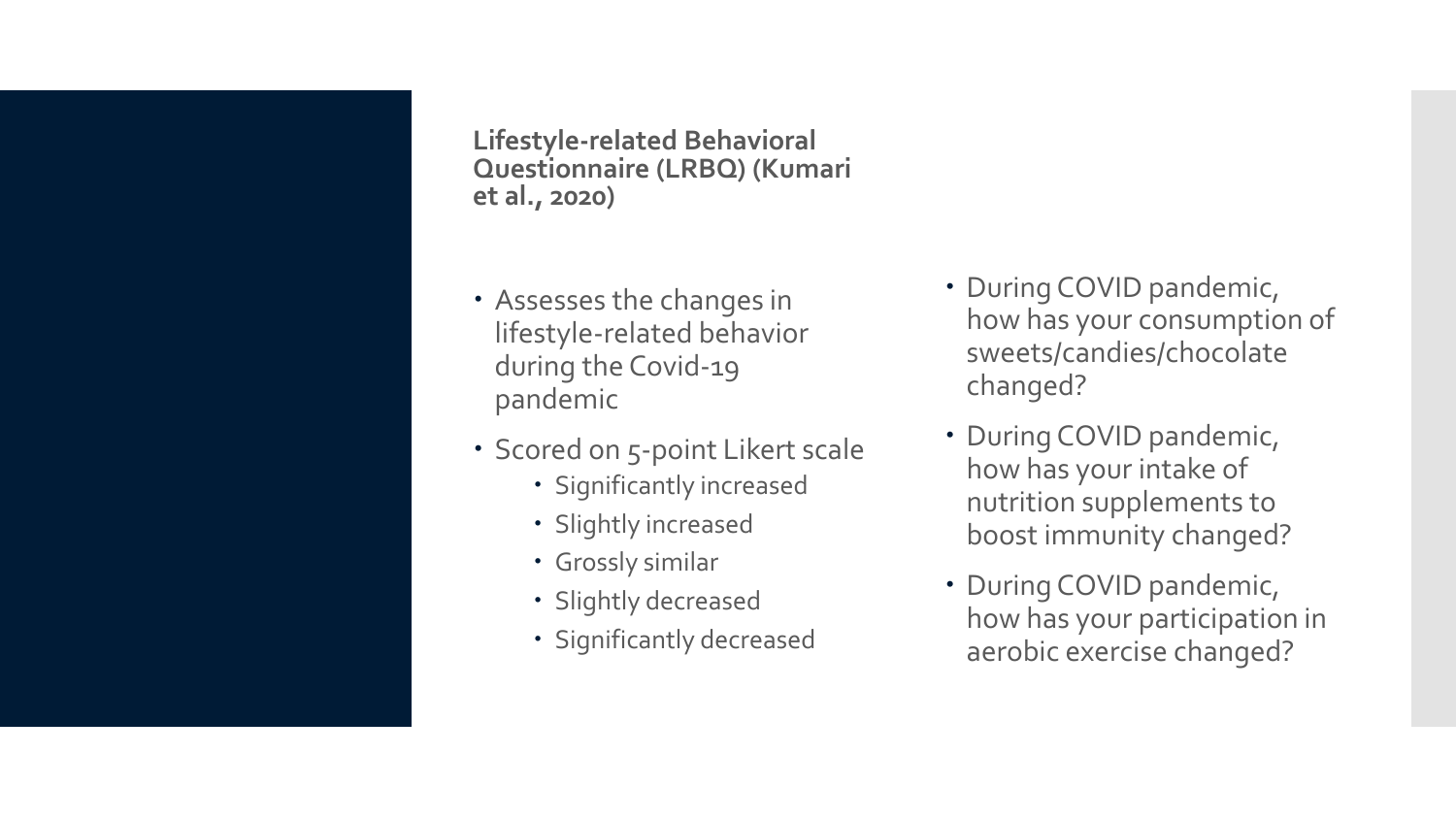**Lifestyle-related Behavioral Questionnaire (LRBQ) (Kumari et al., 2020)**

- Assesses the changes in lifestyle-related behavior during the Covid-19 pandemic
- Scored on 5-point Likert scale
	- Significantly increased
	- Slightly increased
	- Grossly similar
	- Slightly decreased
	- Significantly decreased
- During COVID pandemic, how has your consumption of sweets/candies/chocolate changed?
- During COVID pandemic, how has your intake of nutrition supplements to boost immunity changed?
- During COVID pandemic, how has your participation in aerobic exercise changed?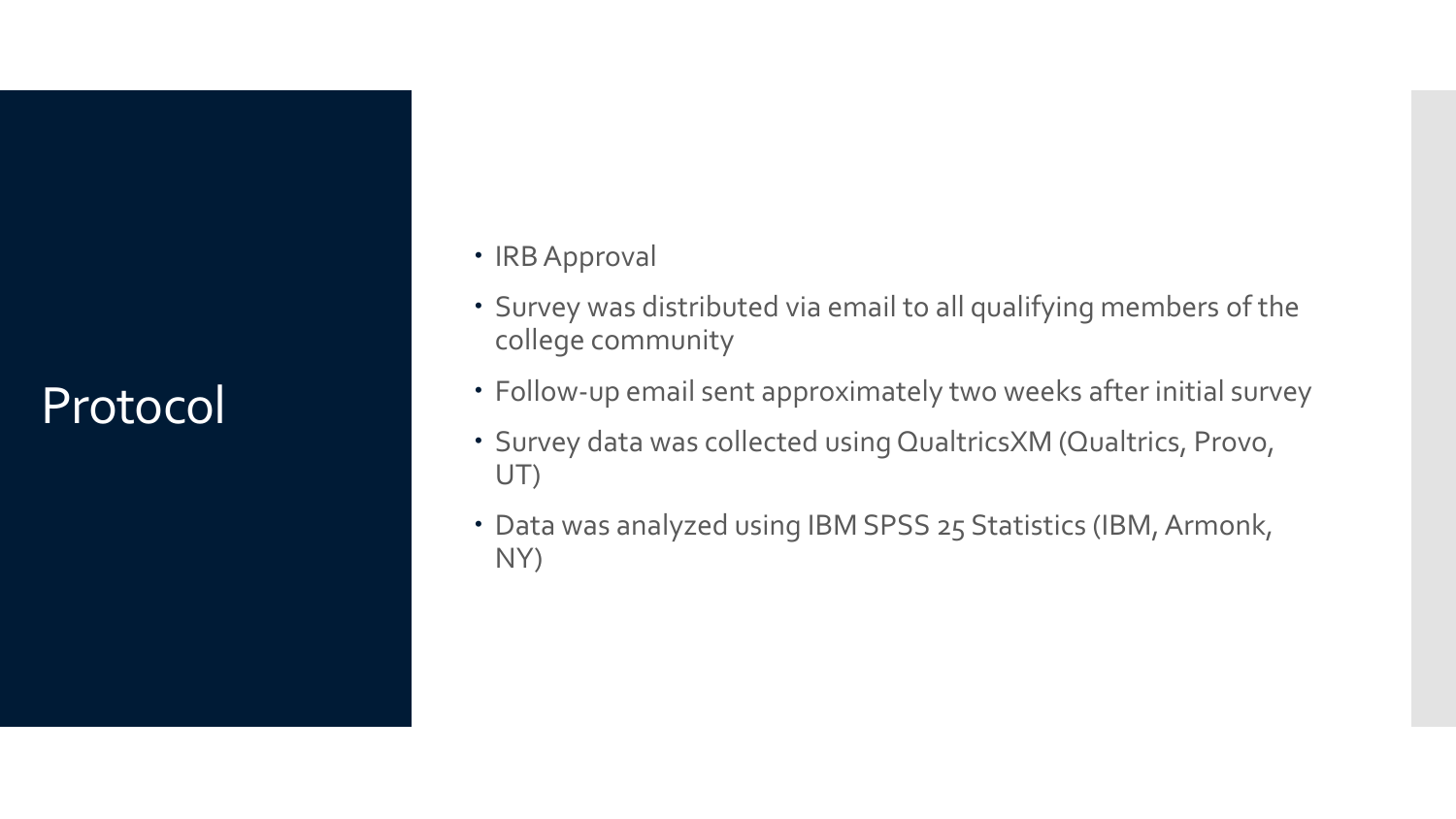#### Protocol

- IRB Approval
- Survey was distributed via email to all qualifying members of the college community
- Follow-up email sent approximately two weeks after initial survey
- Survey data was collected using QualtricsXM (Qualtrics, Provo, UT)
- Data was analyzed using IBM SPSS 25 Statistics (IBM, Armonk, NY)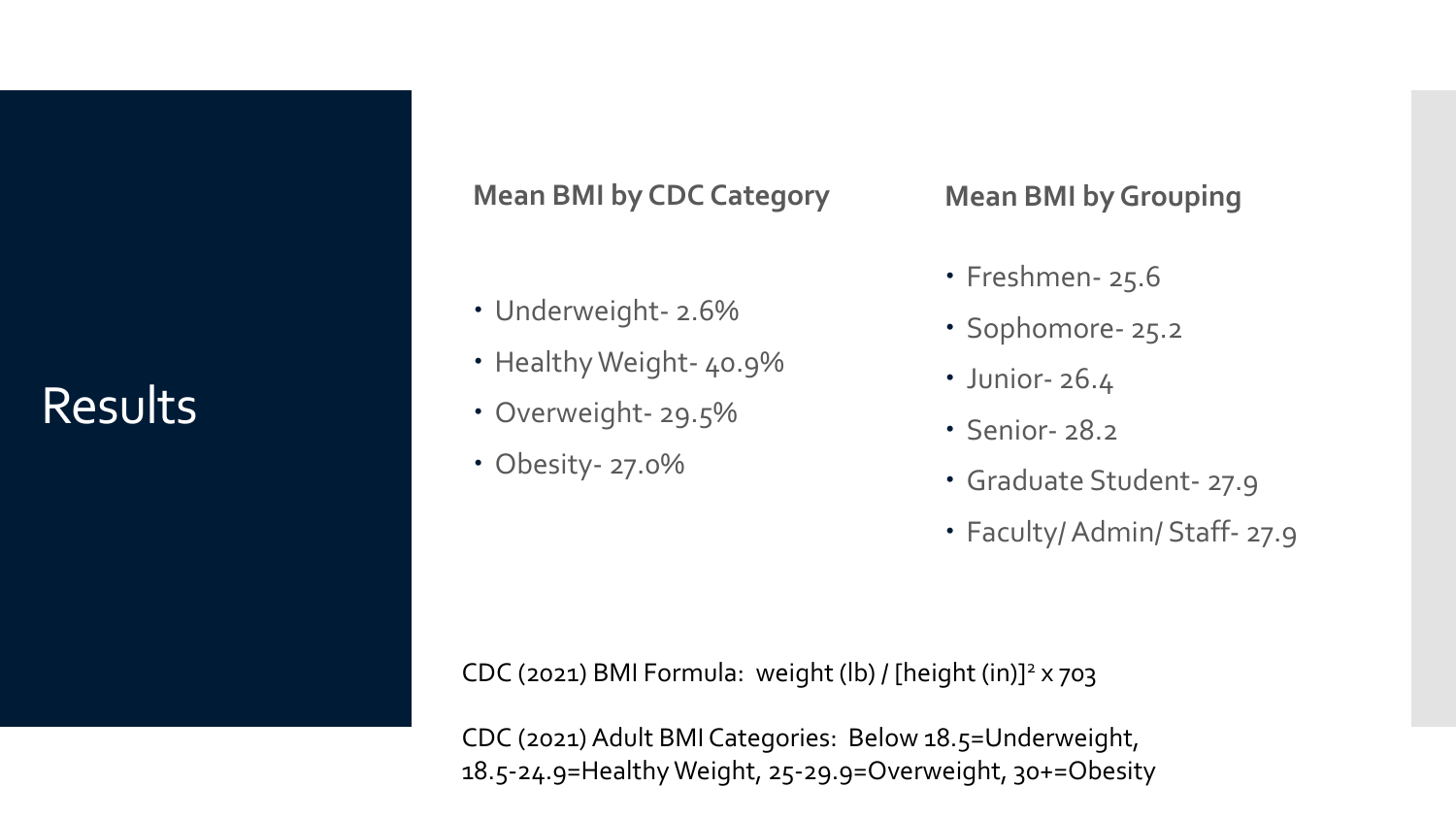#### Results

#### **Mean BMI by CDC Category**

- Underweight- 2.6%
- Healthy Weight- 40.9%
- Overweight- 29.5%
- Obesity- 27.0%

#### **Mean BMI by Grouping**

- Freshmen- 25.6
- Sophomore- 25.2
- Junior- 26.4
- Senior- 28.2
- Graduate Student- 27.9
- Faculty/ Admin/ Staff- 27.9

CDC (2021) BMI Formula: weight (lb) / [height (in)]<sup>2</sup> x 703

CDC (2021) Adult BMI Categories: Below 18.5=Underweight, 18.5-24.9=Healthy Weight, 25-29.9=Overweight, 30+=Obesity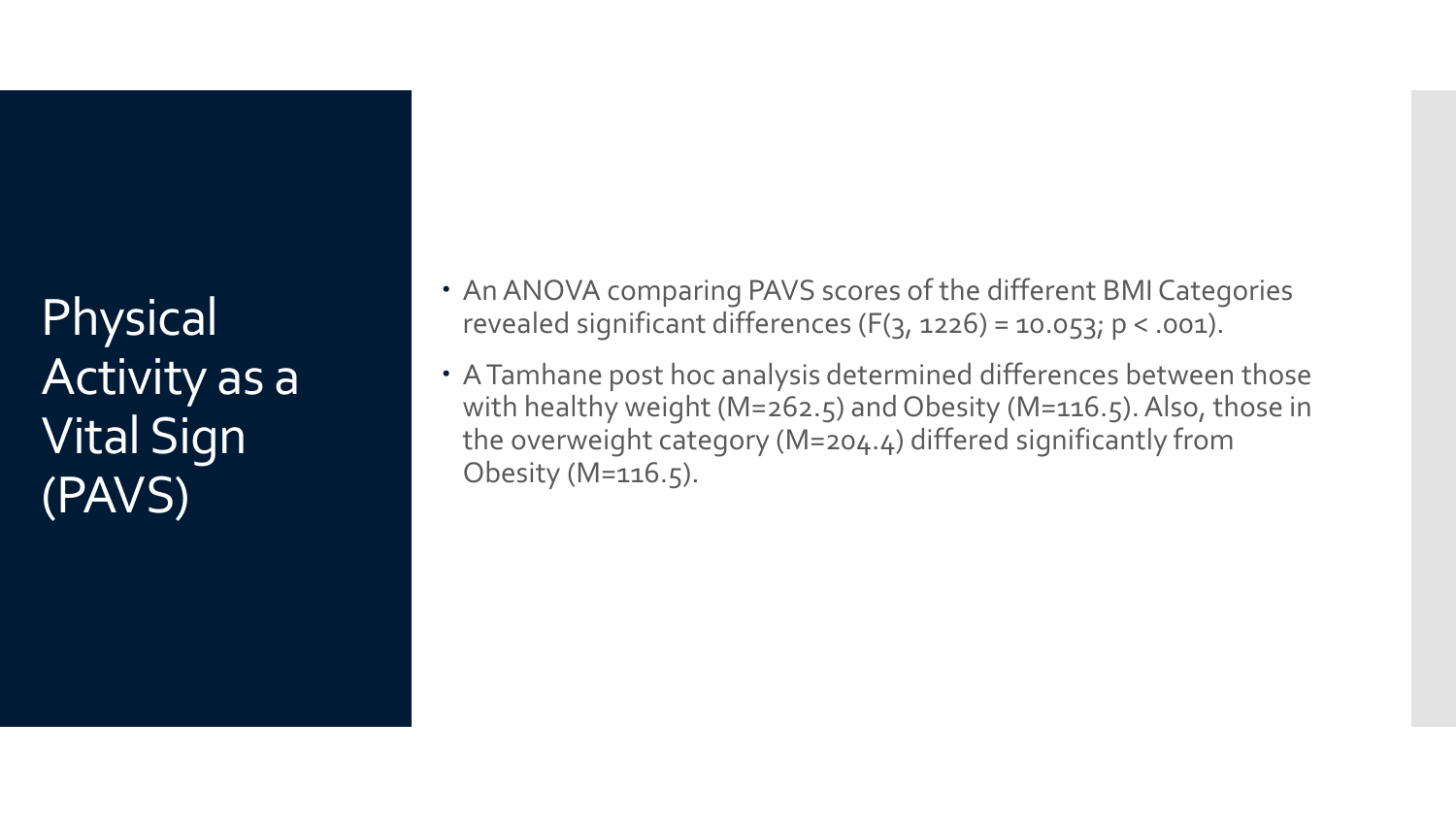Physical Activity as a Vital Sign (PAVS)

- An ANOVA comparing PAVS scores of the different BMI Categories revealed significant differences  $(F(3, 1226) = 10.053; p < .001)$ .
- A Tamhane post hoc analysis determined differences between those with healthy weight (M=262.5) and Obesity (M=116.5). Also, those in the overweight category (M=204.4) differed significantly from Obesity (M=116.5).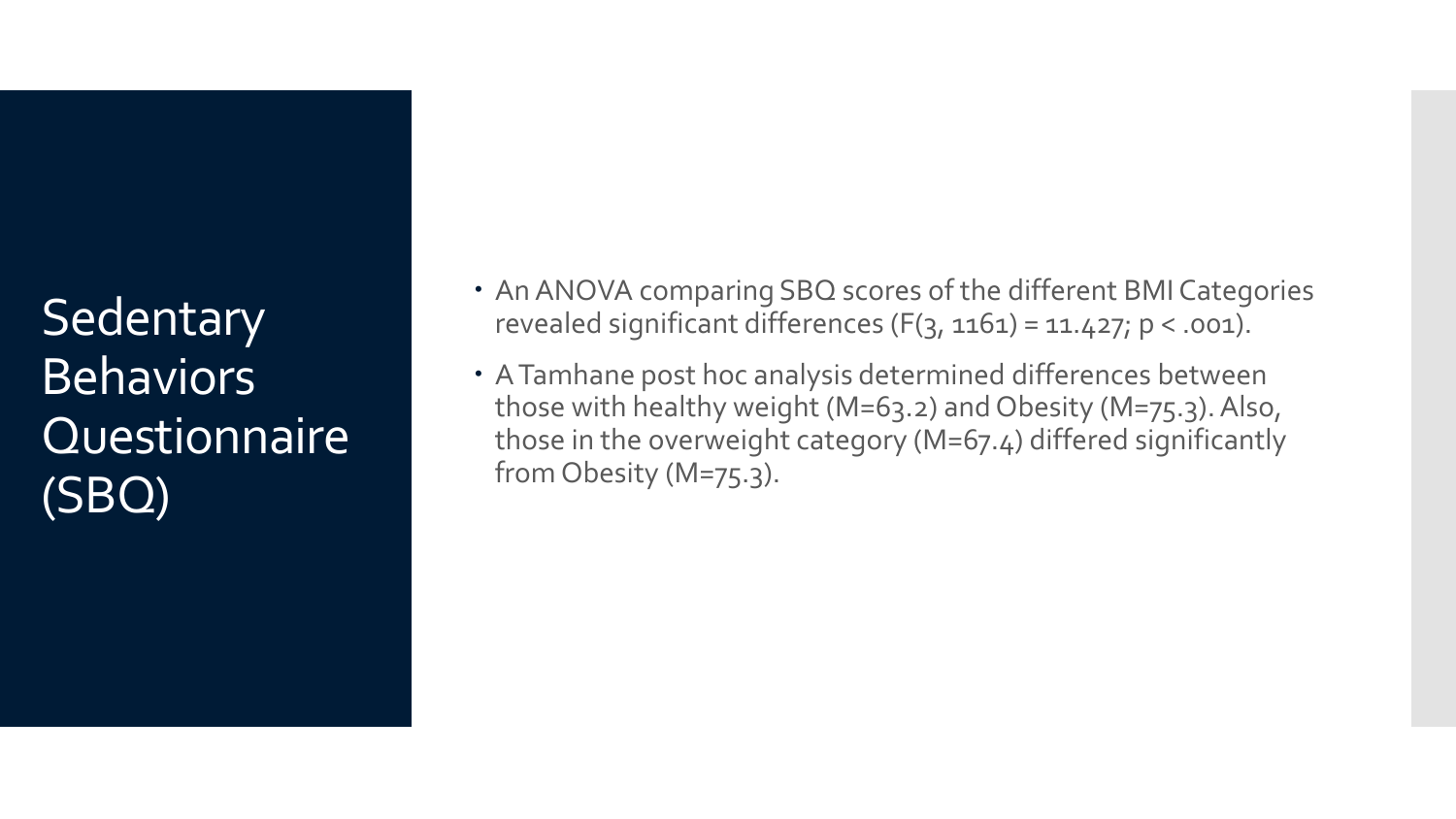**Sedentary Behaviors Questionnaire** (SBQ)

- An ANOVA comparing SBQ scores of the different BMI Categories revealed significant differences  $(F(3, 1161) = 11.427; p < .001)$ .
- A Tamhane post hoc analysis determined differences between those with healthy weight (M=63.2) and Obesity (M=75.3). Also, those in the overweight category (M=67.4) differed significantly from Obesity (M=75.3).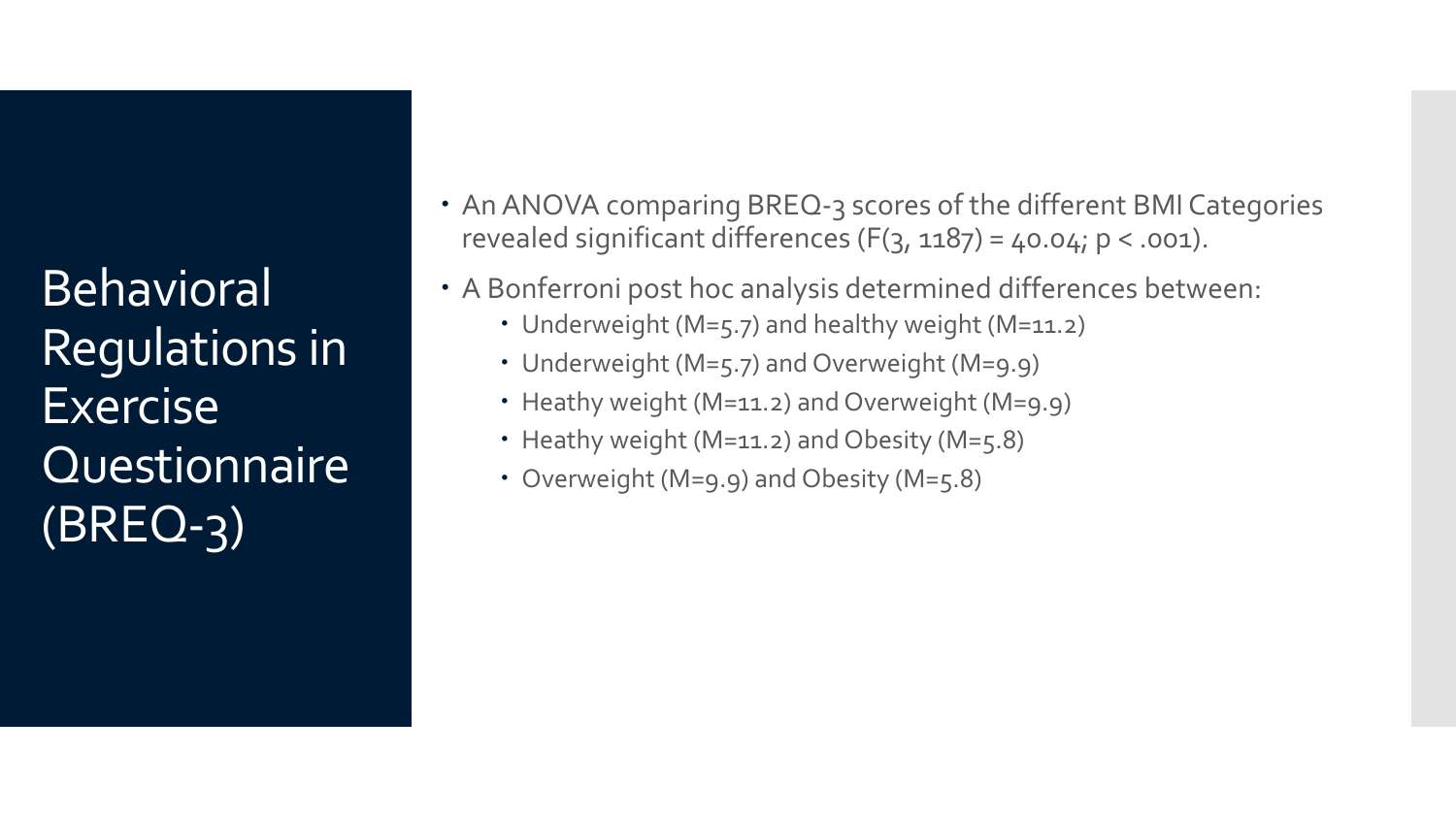**Behavioral** Regulations in **Exercise Questionnaire** (BREQ-3)

- An ANOVA comparing BREQ-3 scores of the different BMI Categories revealed significant differences  $(F(3, 1187) = 40.04; p < .001)$ .
- A Bonferroni post hoc analysis determined differences between:
	- Underweight (M=5.7) and healthy weight (M=11.2)
	- Underweight (M=5.7) and Overweight (M=9.9)
	- Heathy weight (M=11.2) and Overweight (M=9.9)
	- Heathy weight (M=11.2) and Obesity (M=5.8)
	- Overweight (M=9.9) and Obesity (M=5.8)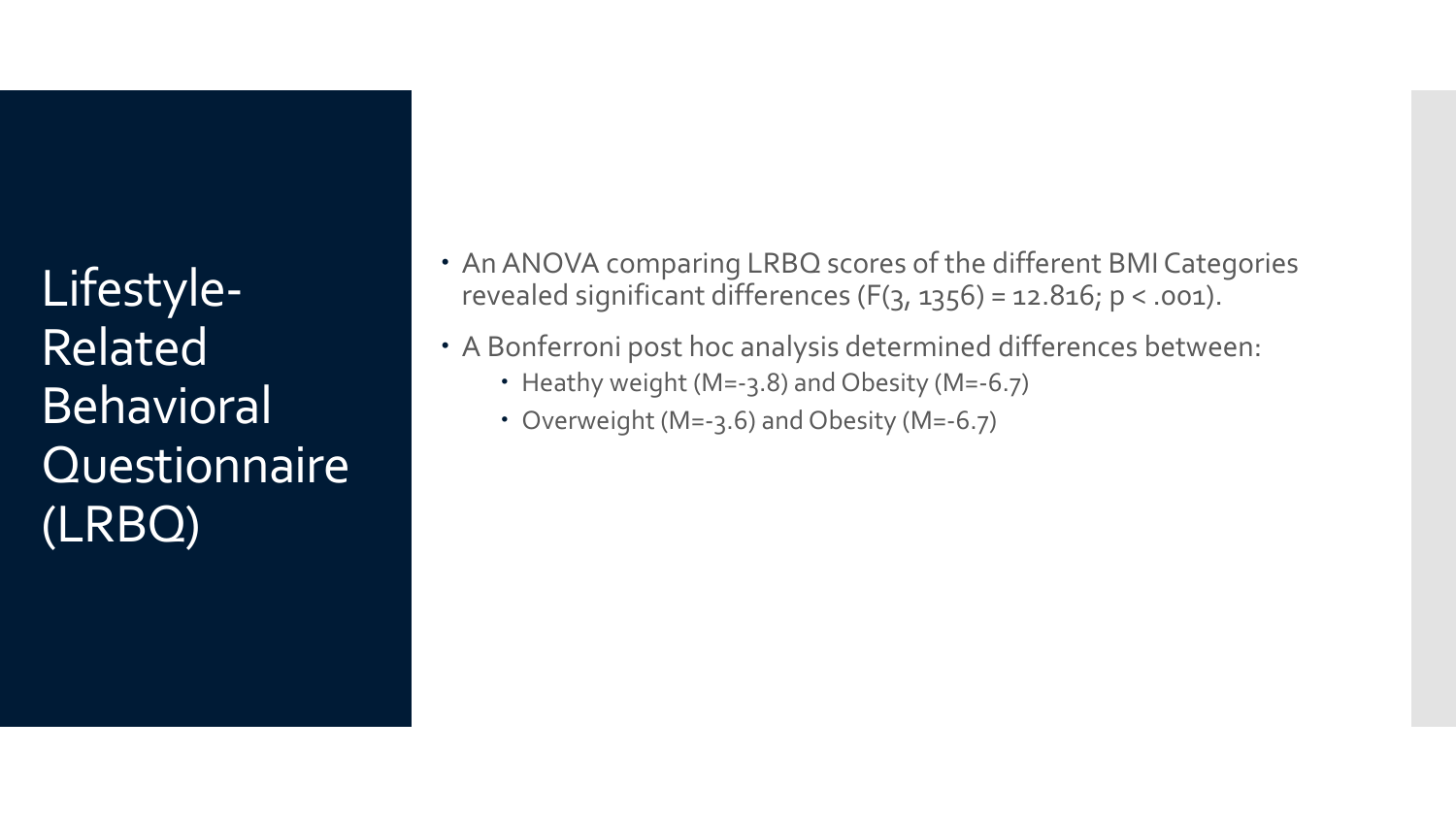Lifestyle-Related **Behavioral Questionnaire** (LRBQ)

- An ANOVA comparing LRBQ scores of the different BMI Categories revealed significant differences  $(F(3, 1356) = 12.816; p < .001)$ .
- A Bonferroni post hoc analysis determined differences between:
	- Heathy weight (M=-3.8) and Obesity (M=-6.7)
	- Overweight (M=-3.6) and Obesity (M=-6.7)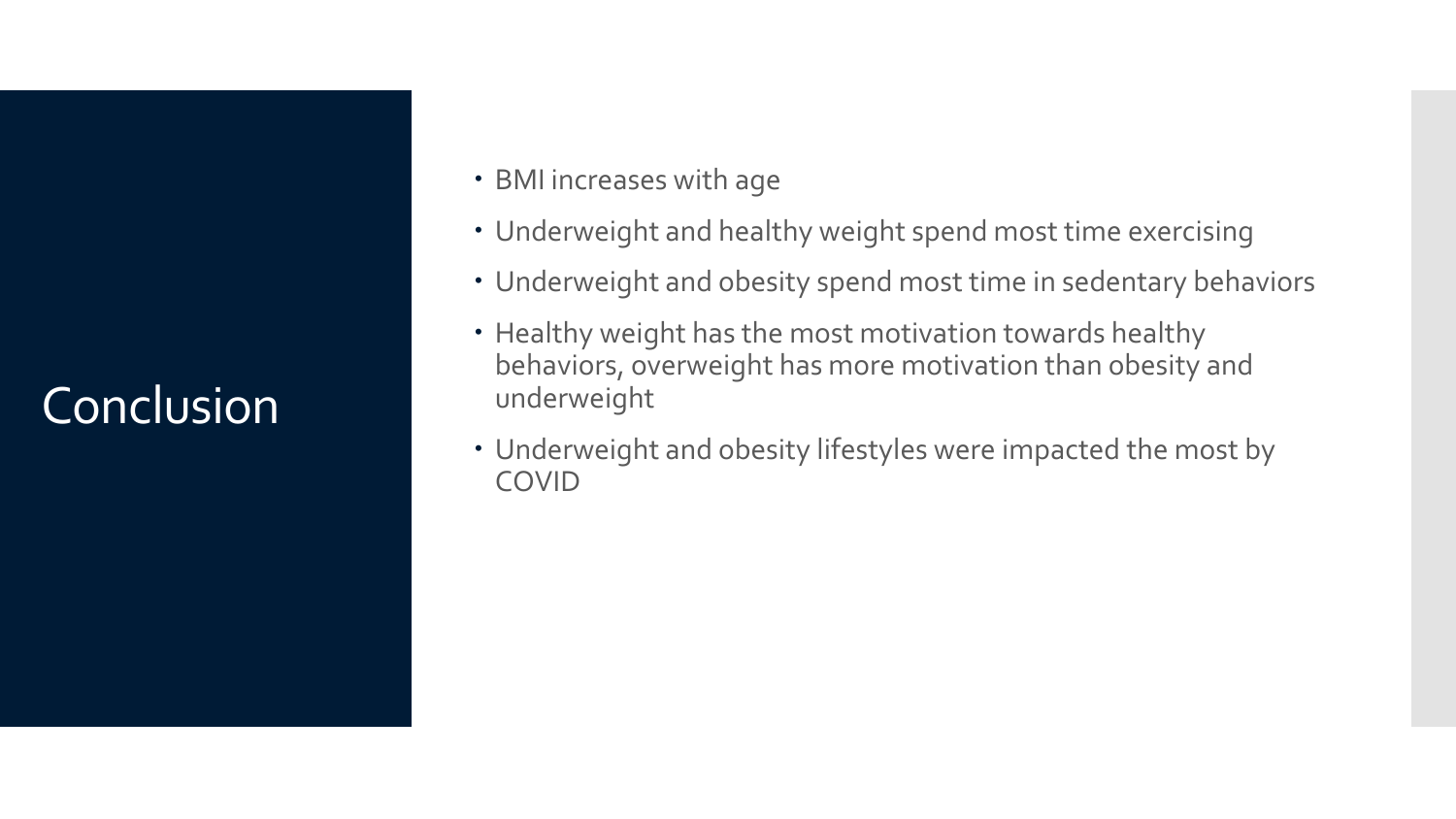### Conclusion

- BMI increases with age
- Underweight and healthy weight spend most time exercising
- Underweight and obesity spend most time in sedentary behaviors
- Healthy weight has the most motivation towards healthy behaviors, overweight has more motivation than obesity and underweight
- Underweight and obesity lifestyles were impacted the most by COVID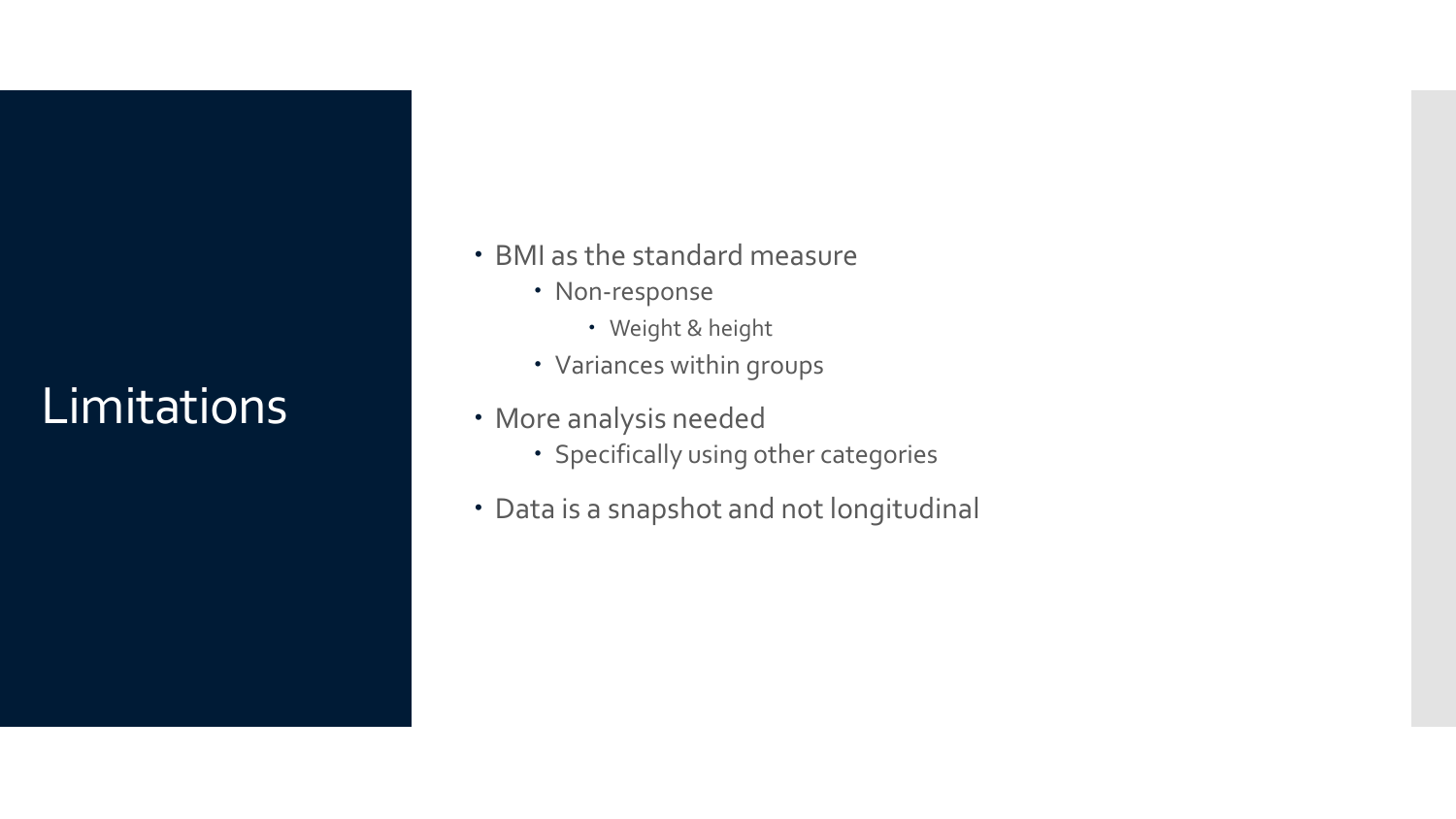### Limitations

- BMI as the standard measure
	- Non-response
		- Weight & height
	- Variances within groups
- More analysis needed
	- Specifically using other categories
- Data is a snapshot and not longitudinal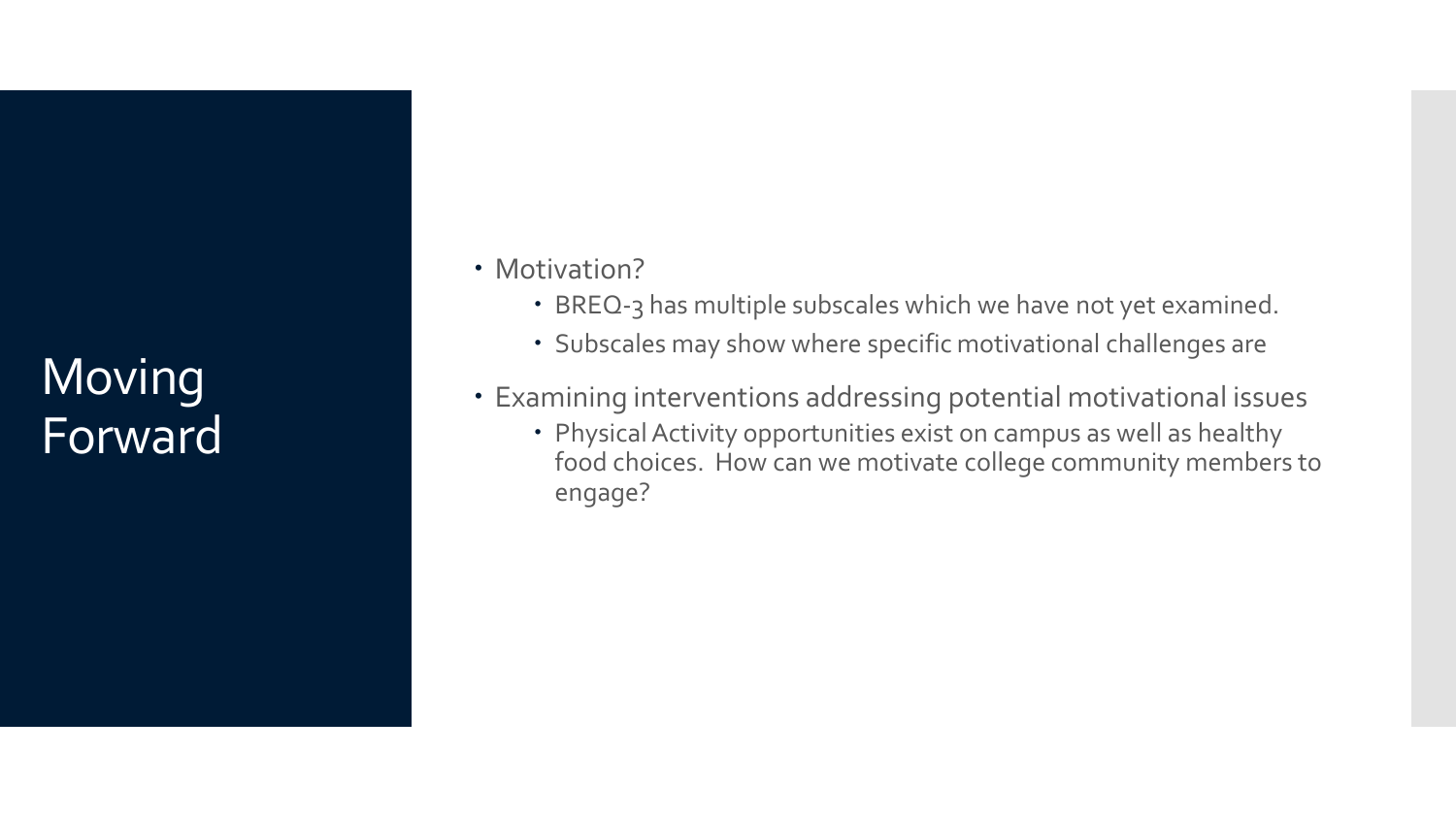### **Moving** Forward

- Motivation?
	- BREQ-3 has multiple subscales which we have not yet examined.
	- Subscales may show where specific motivational challenges are
- Examining interventions addressing potential motivational issues
	- Physical Activity opportunities exist on campus as well as healthy food choices. How can we motivate college community members to engage?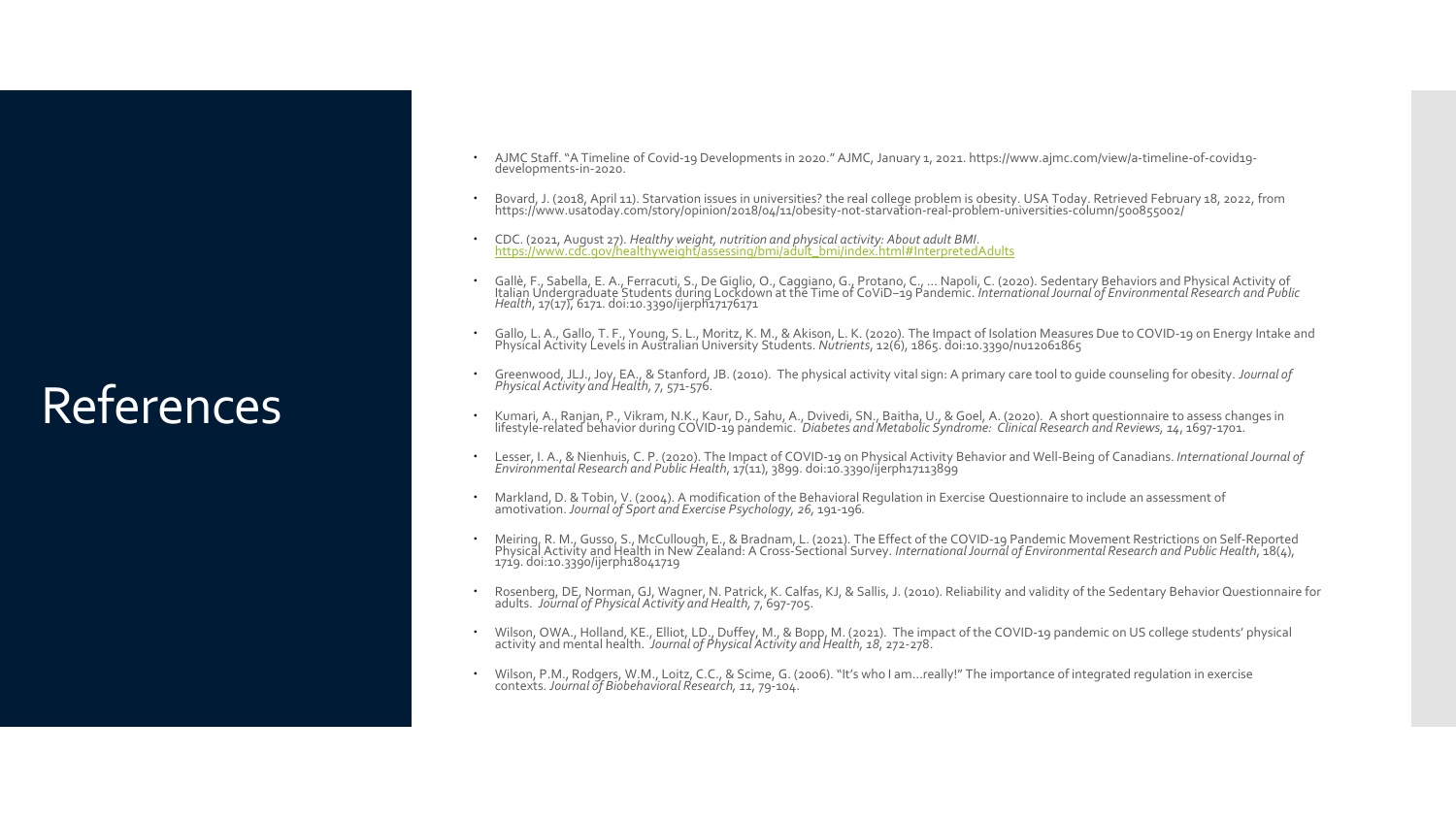### **References**

- AJMC Staff. "A Timeline of Covid-19 Developments in 2020." AJMC, January 1, 2021. https://www.ajmc.com/view/a-timeline-of-covid19- developments-in-2020.
- Bovard, J. (2018, April 11). Starvation issues in universities? the real college problem is obesity. USA Today. Retrieved February 18, 2022, from<br>https://www.usatoday.com/story/opinion/2018/04/11/obesity-not-starvation-rea
- CDC. (2021, August 27). *Healthy weight, nutrition and physical activity: About adult BMI.*<br>https://www.cdc.gov/healthyweight/assessing/bmi/adult\_bmi/index.html#InterpretedAdults
- Gallè, F., Sabella, E. A., Ferracuti, S., De Giglio, O., Caggiano, G., Protano, C., ... Napoli, C. (2020). Sedentary Behaviors and Physical Activity of<br>Italian Undergraduate Students during Lockdown at the Time of CoViD-19
- Gallo, L. A., Gallo, T. F., Young, S. L., Moritz, K. M., & Akison, L. K. (2020). The Impact of Isolation Measures Due to COVID-19 on Energy Intake and<br>Physical Activity Levels in Australian University Students. Nutrients,
- Greenwood, JLJ., Joy, EA., & Stanford, JB. (2010). The physical activity vital sign: A primary care tool to guide counseling for obesity. *Journal of Physical Activity and Health, 7*, 571-576.
- Kumari, A., Ranjan, P., Vikram, N.K., Kaur, D., Sahu, A., Dvivedi, SN., Baitha, U., & Goel, A. (2020). A short questionnaire to assess changes in<br>lifestyle-related behavior during COVID-19 pandemic. *Diabetes and Metabolic*
- Lesser, I. A., & Nienhuis, C. P. (2020). The Impact of COVID-19 on Physical Activity Behavior and Well-Being of Canadians. International Journal of<br>Environmental Research and Public Health, 17(11), 3899. doi:10.3390/ijerph
- Markland, D. & Tobin, V. (2004). A modification of the Behavioral Regulation in Exercise Questionnaire to include an assessment of amotivation.*Journal of Sport and Exercise Psychology, 26,* 191-196*.*
- Meiring, R. M., Gusso, S., McCullough, E., & Bradnam, L. (2021). The Effect of the COVID-19 Pandemic Movement Restrictions on Self-Reported<br>Physical Activity and Health in New Zealand: A Cross-Sectional Survey. Internation
- Rosenberg, DE, Norman, GJ, Wagner, N. Patrick, K. Calfas, KJ, & Sallis, J. (2010). Reliability and validity of the Sedentary Behavior Questionnaire for<br>adults. *Journal of Physical Activity and Health, 7*, 697-705.
- Wilson, OWA., Holland, KE., Elliot, LD., Duffey, M., & Bopp, M. (2021). The impact of the COVID-19 pandemic on US college students' physical activity and mental health. Journal of Physical Activity and Health, 18, 272-278.
- Wilson, P.M., Rodgers, W.M., Loitz, C.C., & Scime, G. (2006). "It's who I am…really!" The importance of integrated regulation in exercise contexts. *Journal of Biobehavioral Research, 11*, 79-104.